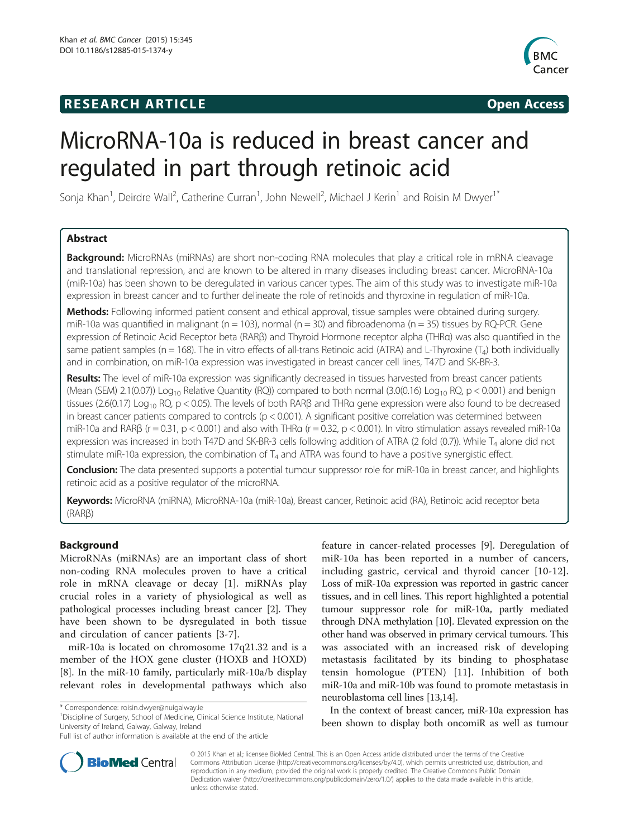## **RESEARCH ARTICLE Example 2014 CONSIDERING CONSIDERING CONSIDERING CONSIDERING CONSIDERING CONSIDERING CONSIDERING CONSIDERING CONSIDERING CONSIDERING CONSIDERING CONSIDERING CONSIDERING CONSIDERING CONSIDERING CONSIDE**



# MicroRNA-10a is reduced in breast cancer and regulated in part through retinoic acid

Sonja Khan<sup>1</sup>, Deirdre Wall<sup>2</sup>, Catherine Curran<sup>1</sup>, John Newell<sup>2</sup>, Michael J Kerin<sup>1</sup> and Roisin M Dwyer<sup>1\*</sup>

## Abstract

Background: MicroRNAs (miRNAs) are short non-coding RNA molecules that play a critical role in mRNA cleavage and translational repression, and are known to be altered in many diseases including breast cancer. MicroRNA-10a (miR-10a) has been shown to be deregulated in various cancer types. The aim of this study was to investigate miR-10a expression in breast cancer and to further delineate the role of retinoids and thyroxine in regulation of miR-10a.

Methods: Following informed patient consent and ethical approval, tissue samples were obtained during surgery. miR-10a was quantified in malignant ( $n = 103$ ), normal ( $n = 30$ ) and fibroadenoma ( $n = 35$ ) tissues by RQ-PCR. Gene expression of Retinoic Acid Receptor beta (RARβ) and Thyroid Hormone receptor alpha (THRα) was also quantified in the same patient samples ( $n = 168$ ). The in vitro effects of all-trans Retinoic acid (ATRA) and L-Thyroxine ( $T<sub>4</sub>$ ) both individually and in combination, on miR-10a expression was investigated in breast cancer cell lines, T47D and SK-BR-3.

Results: The level of miR-10a expression was significantly decreased in tissues harvested from breast cancer patients (Mean (SEM) 2.1(0.07)) Log<sub>10</sub> Relative Quantity (RQ)) compared to both normal (3.0(0.16) Log<sub>10</sub> RQ, p < 0.001) and benign tissues (2.6(0.17) Log<sub>10</sub> RQ, p < 0.05). The levels of both RAR $\beta$  and THRa gene expression were also found to be decreased in breast cancer patients compared to controls ( $p < 0.001$ ). A significant positive correlation was determined between miR-10a and RAR $\beta$  (r = 0.31, p < 0.001) and also with THRa (r = 0.32, p < 0.001). In vitro stimulation assays revealed miR-10a expression was increased in both T47D and SK-BR-3 cells following addition of ATRA (2 fold (0.7)). While  $T_4$  alone did not stimulate miR-10a expression, the combination of  $T_4$  and ATRA was found to have a positive synergistic effect.

Conclusion: The data presented supports a potential tumour suppressor role for miR-10a in breast cancer, and highlights retinoic acid as a positive regulator of the microRNA.

Keywords: MicroRNA (miRNA), MicroRNA-10a (miR-10a), Breast cancer, Retinoic acid (RA), Retinoic acid receptor beta (RARβ)

## Background

MicroRNAs (miRNAs) are an important class of short non-coding RNA molecules proven to have a critical role in mRNA cleavage or decay [[1\]](#page-7-0). miRNAs play crucial roles in a variety of physiological as well as pathological processes including breast cancer [[2\]](#page-7-0). They have been shown to be dysregulated in both tissue and circulation of cancer patients [[3-7](#page-7-0)].

miR-10a is located on chromosome 17q21.32 and is a member of the HOX gene cluster (HOXB and HOXD) [[8\]](#page-7-0). In the miR-10 family, particularly miR-10a/b display relevant roles in developmental pathways which also

<sup>1</sup> Discipline of Surgery, School of Medicine, Clinical Science Institute, National University of Ireland, Galway, Galway, Ireland

feature in cancer-related processes [[9](#page-7-0)]. Deregulation of miR-10a has been reported in a number of cancers, including gastric, cervical and thyroid cancer [\[10](#page-7-0)-[12](#page-7-0)]. Loss of miR-10a expression was reported in gastric cancer tissues, and in cell lines. This report highlighted a potential tumour suppressor role for miR-10a, partly mediated through DNA methylation [[10](#page-7-0)]. Elevated expression on the other hand was observed in primary cervical tumours. This was associated with an increased risk of developing metastasis facilitated by its binding to phosphatase tensin homologue (PTEN) [\[11](#page-7-0)]. Inhibition of both miR-10a and miR-10b was found to promote metastasis in neuroblastoma cell lines [\[13,14](#page-7-0)].

In the context of breast cancer, miR-10a expression has been shown to display both oncomiR as well as tumour



© 2015 Khan et al.; licensee BioMed Central. This is an Open Access article distributed under the terms of the Creative Commons Attribution License [\(http://creativecommons.org/licenses/by/4.0\)](http://creativecommons.org/licenses/by/4.0), which permits unrestricted use, distribution, and reproduction in any medium, provided the original work is properly credited. The Creative Commons Public Domain Dedication waiver [\(http://creativecommons.org/publicdomain/zero/1.0/](http://creativecommons.org/publicdomain/zero/1.0/)) applies to the data made available in this article, unless otherwise stated.

<sup>\*</sup> Correspondence: [roisin.dwyer@nuigalway.ie](mailto:roisin.dwyer@nuigalway.ie) <sup>1</sup>

Full list of author information is available at the end of the article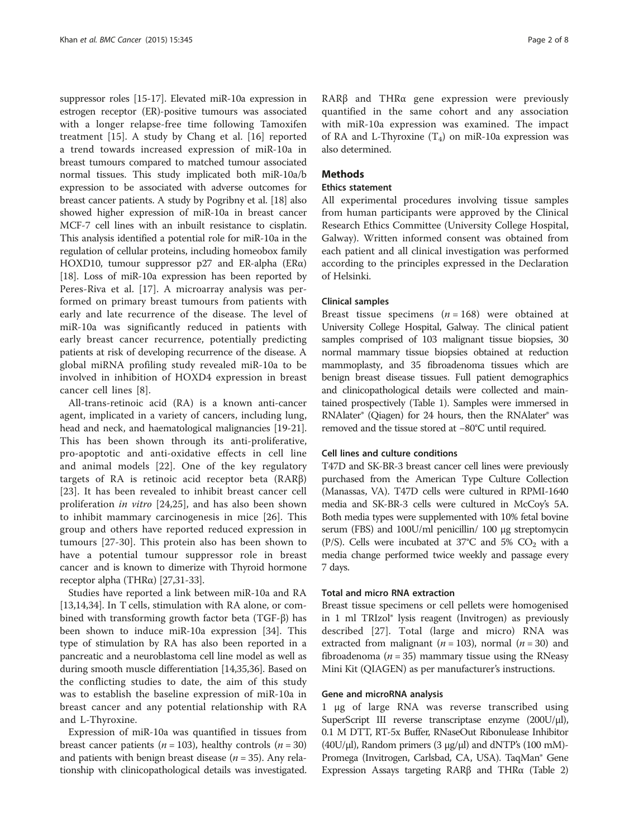suppressor roles [[15](#page-7-0)-[17](#page-7-0)]. Elevated miR-10a expression in estrogen receptor (ER)-positive tumours was associated with a longer relapse-free time following Tamoxifen treatment [[15](#page-7-0)]. A study by Chang et al. [\[16](#page-7-0)] reported a trend towards increased expression of miR-10a in breast tumours compared to matched tumour associated normal tissues. This study implicated both miR-10a/b expression to be associated with adverse outcomes for breast cancer patients. A study by Pogribny et al. [\[18](#page-7-0)] also showed higher expression of miR-10a in breast cancer MCF-7 cell lines with an inbuilt resistance to cisplatin. This analysis identified a potential role for miR-10a in the regulation of cellular proteins, including homeobox family HOXD10, tumour suppressor p27 and ER-alpha (ER $\alpha$ ) [[18](#page-7-0)]. Loss of miR-10a expression has been reported by Peres-Riva et al. [[17\]](#page-7-0). A microarray analysis was performed on primary breast tumours from patients with early and late recurrence of the disease. The level of miR-10a was significantly reduced in patients with early breast cancer recurrence, potentially predicting patients at risk of developing recurrence of the disease. A global miRNA profiling study revealed miR-10a to be involved in inhibition of HOXD4 expression in breast cancer cell lines [\[8](#page-7-0)].

All-trans-retinoic acid (RA) is a known anti-cancer agent, implicated in a variety of cancers, including lung, head and neck, and haematological malignancies [[19](#page-7-0)-[21](#page-7-0)]. This has been shown through its anti-proliferative, pro-apoptotic and anti-oxidative effects in cell line and animal models [[22\]](#page-7-0). One of the key regulatory targets of RA is retinoic acid receptor beta (RARβ) [[23\]](#page-7-0). It has been revealed to inhibit breast cancer cell proliferation in vitro [\[24,25](#page-7-0)], and has also been shown to inhibit mammary carcinogenesis in mice [\[26](#page-7-0)]. This group and others have reported reduced expression in tumours [\[27](#page-7-0)-[30\]](#page-7-0). This protein also has been shown to have a potential tumour suppressor role in breast cancer and is known to dimerize with Thyroid hormone receptor alpha (THRα) [\[27,31](#page-7-0)-[33\]](#page-7-0).

Studies have reported a link between miR-10a and RA [[13,14,34\]](#page-7-0). In T cells, stimulation with RA alone, or combined with transforming growth factor beta (TGF-β) has been shown to induce miR-10a expression [[34\]](#page-7-0). This type of stimulation by RA has also been reported in a pancreatic and a neuroblastoma cell line model as well as during smooth muscle differentiation [[14,35,36\]](#page-7-0). Based on the conflicting studies to date, the aim of this study was to establish the baseline expression of miR-10a in breast cancer and any potential relationship with RA and L-Thyroxine.

Expression of miR-10a was quantified in tissues from breast cancer patients ( $n = 103$ ), healthy controls ( $n = 30$ ) and patients with benign breast disease ( $n = 35$ ). Any relationship with clinicopathological details was investigated. RARβ and THRα gene expression were previously quantified in the same cohort and any association with miR-10a expression was examined. The impact of RA and L-Thyroxine  $(T_4)$  on miR-10a expression was also determined.

## **Methods**

#### Ethics statement

All experimental procedures involving tissue samples from human participants were approved by the Clinical Research Ethics Committee (University College Hospital, Galway). Written informed consent was obtained from each patient and all clinical investigation was performed according to the principles expressed in the Declaration of Helsinki.

## Clinical samples

Breast tissue specimens ( $n = 168$ ) were obtained at University College Hospital, Galway. The clinical patient samples comprised of 103 malignant tissue biopsies, 30 normal mammary tissue biopsies obtained at reduction mammoplasty, and 35 fibroadenoma tissues which are benign breast disease tissues. Full patient demographics and clinicopathological details were collected and maintained prospectively (Table [1](#page-2-0)). Samples were immersed in RNAlater® (Qiagen) for 24 hours, then the RNAlater® was removed and the tissue stored at −80°C until required.

## Cell lines and culture conditions

T47D and SK-BR-3 breast cancer cell lines were previously purchased from the American Type Culture Collection (Manassas, VA). T47D cells were cultured in RPMI-1640 media and SK-BR-3 cells were cultured in McCoy's 5A. Both media types were supplemented with 10% fetal bovine serum (FBS) and 100U/ml penicillin/ 100 μg streptomycin (P/S). Cells were incubated at 37°C and 5%  $CO<sub>2</sub>$  with a media change performed twice weekly and passage every 7 days.

## Total and micro RNA extraction

Breast tissue specimens or cell pellets were homogenised in 1 ml TRIzol® lysis reagent (Invitrogen) as previously described [[27\]](#page-7-0). Total (large and micro) RNA was extracted from malignant ( $n = 103$ ), normal ( $n = 30$ ) and fibroadenoma ( $n = 35$ ) mammary tissue using the RNeasy Mini Kit (QIAGEN) as per manufacturer's instructions.

#### Gene and microRNA analysis

1 μg of large RNA was reverse transcribed using SuperScript III reverse transcriptase enzyme (200U/μl), 0.1 M DTT, RT-5x Buffer, RNaseOut Ribonulease Inhibitor (40U/μl), Random primers (3 μg/μl) and dNTP's (100 mM)-Promega (Invitrogen, Carlsbad, CA, USA). TaqMan® Gene Expression Assays targeting RARβ and THRα (Table [2](#page-2-0))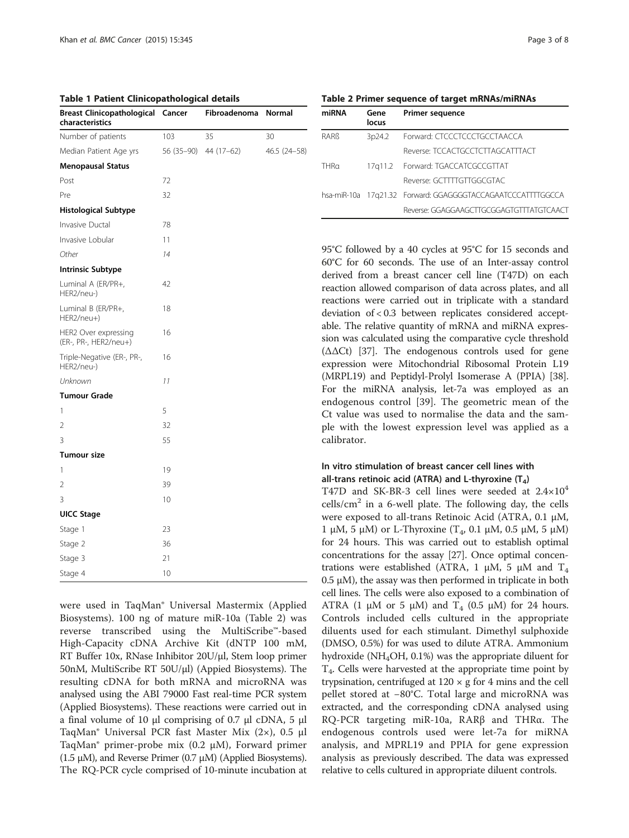<span id="page-2-0"></span>Table 1 Patient Clinicopathological details

| <b>Breast Clinicopathological</b><br>characteristics | Cancer       | Fibroadenoma | Normal       |
|------------------------------------------------------|--------------|--------------|--------------|
| Number of patients                                   | 103          | 35           | 30           |
| Median Patient Age yrs                               | 56 (35 - 90) | 44 (17-62)   | 46.5 (24–58) |
| <b>Menopausal Status</b>                             |              |              |              |
| Post                                                 | 72           |              |              |
| Pre                                                  | 32           |              |              |
| <b>Histological Subtype</b>                          |              |              |              |
| Invasive Ductal                                      | 78           |              |              |
| Invasive Lobular                                     | 11           |              |              |
| Other                                                | 14           |              |              |
| <b>Intrinsic Subtype</b>                             |              |              |              |
| Luminal A (ER/PR+,<br>HER2/neu-)                     | 42           |              |              |
| Luminal B (ER/PR+,<br>HER2/neu+)                     | 18           |              |              |
| HER2 Over expressing<br>(ER-, PR-, HER2/neu+)        | 16           |              |              |
| Triple-Negative (ER-, PR-,<br>HER2/neu-)             | 16           |              |              |
| Unknown                                              | 11           |              |              |
| Tumour Grade                                         |              |              |              |
| 1                                                    | 5            |              |              |
| 2                                                    | 32           |              |              |
| 3                                                    | 55           |              |              |
| <b>Tumour size</b>                                   |              |              |              |
| 1                                                    | 19           |              |              |
| 2                                                    | 39           |              |              |
| 3                                                    | 10           |              |              |
| <b>UICC Stage</b>                                    |              |              |              |
| Stage 1                                              | 23           |              |              |
| Stage 2                                              | 36           |              |              |
| Stage 3                                              | 21           |              |              |
| Stage 4                                              | 10           |              |              |

were used in TaqMan® Universal Mastermix (Applied Biosystems). 100 ng of mature miR-10a (Table 2) was reverse transcribed using the MultiScribe™-based High-Capacity cDNA Archive Kit (dNTP 100 mM, RT Buffer 10x, RNase Inhibitor 20U/μl, Stem loop primer 50nM, MultiScribe RT 50U/μl) (Appied Biosystems). The resulting cDNA for both mRNA and microRNA was analysed using the ABI 79000 Fast real-time PCR system (Applied Biosystems). These reactions were carried out in a final volume of 10 μl comprising of 0.7 μl cDNA, 5 μl TaqMan® Universal PCR fast Master Mix (2×), 0.5 μl TaqMan® primer-probe mix (0.2 μM), Forward primer (1.5  $\mu$ M), and Reverse Primer (0.7  $\mu$ M) (Applied Biosystems). The RQ-PCR cycle comprised of 10-minute incubation at

Table 2 Primer sequence of target mRNAs/miRNAs

| miRNA | Gene<br>locus | <b>Primer sequence</b>                                      |
|-------|---------------|-------------------------------------------------------------|
| RARR  | 3p24.2        | Forward: CTCCCTCCCTGCCTAACCA                                |
|       |               | Reverse: TCCACTGCCTCTTAGCATTTACT                            |
| THRa  |               | 17q11.2 Forward: TGACCATCGCCGTTAT                           |
|       |               | Reverse: GCTTTTGTTGGCGTAC                                   |
|       |               | hsa-miR-10a 17q21.32 Forward: GGAGGGGTACCAGAATCCCATTTTGGCCA |
|       |               | Reverse: GGAGGAAGCTTGCGGAGTGTTTATGTCAACT                    |

95°C followed by a 40 cycles at 95°C for 15 seconds and 60°C for 60 seconds. The use of an Inter-assay control derived from a breast cancer cell line (T47D) on each reaction allowed comparison of data across plates, and all reactions were carried out in triplicate with a standard deviation of < 0.3 between replicates considered acceptable. The relative quantity of mRNA and miRNA expression was calculated using the comparative cycle threshold  $(ΔΔCt)$  [[37](#page-7-0)]. The endogenous controls used for gene expression were Mitochondrial Ribosomal Protein L19 (MRPL19) and Peptidyl-Prolyl Isomerase A (PPIA) [[38](#page-7-0)]. For the miRNA analysis, let-7a was employed as an endogenous control [\[39](#page-7-0)]. The geometric mean of the Ct value was used to normalise the data and the sample with the lowest expression level was applied as a calibrator.

## In vitro stimulation of breast cancer cell lines with all-trans retinoic acid (ATRA) and L-thyroxine  $(T_4)$

T47D and SK-BR-3 cell lines were seeded at 2.4×10<sup>4</sup>  $cells/cm<sup>2</sup>$  in a 6-well plate. The following day, the cells were exposed to all-trans Retinoic Acid (ATRA, 0.1 μM, 1 μM, 5 μM) or L-Thyroxine (T<sub>4</sub>, 0.1 μM, 0.5 μM, 5 μM) for 24 hours. This was carried out to establish optimal concentrations for the assay [\[27](#page-7-0)]. Once optimal concentrations were established (ATRA, 1 μM, 5 μM and  $T_4$  $0.5$  μM), the assay was then performed in triplicate in both cell lines. The cells were also exposed to a combination of ATRA (1 μM or 5 μM) and  $T_4$  (0.5 μM) for 24 hours. Controls included cells cultured in the appropriate diluents used for each stimulant. Dimethyl sulphoxide (DMSO, 0.5%) for was used to dilute ATRA. Ammonium hydroxide ( $NH_4OH$ , 0.1%) was the appropriate diluent for  $T<sub>4</sub>$ . Cells were harvested at the appropriate time point by trypsination, centrifuged at  $120 \times g$  for 4 mins and the cell pellet stored at −80°C. Total large and microRNA was extracted, and the corresponding cDNA analysed using RQ-PCR targeting miR-10a, RARβ and THRα. The endogenous controls used were let-7a for miRNA analysis, and MPRL19 and PPIA for gene expression analysis as previously described. The data was expressed relative to cells cultured in appropriate diluent controls.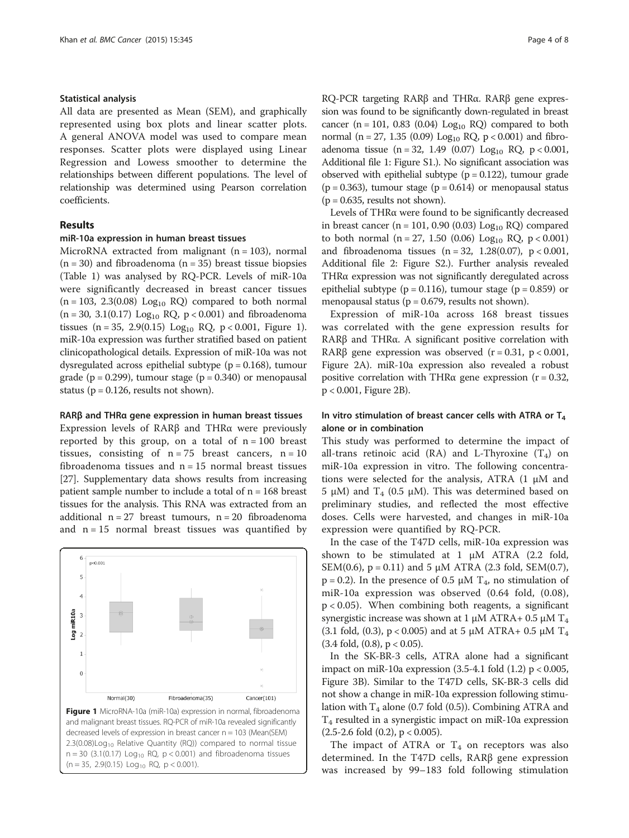#### Statistical analysis

All data are presented as Mean (SEM), and graphically represented using box plots and linear scatter plots. A general ANOVA model was used to compare mean responses. Scatter plots were displayed using Linear Regression and Lowess smoother to determine the relationships between different populations. The level of relationship was determined using Pearson correlation coefficients.

## Results

#### miR-10a expression in human breast tissues

MicroRNA extracted from malignant  $(n = 103)$ , normal  $(n = 30)$  and fibroadenoma  $(n = 35)$  breast tissue biopsies (Table [1](#page-2-0)) was analysed by RQ-PCR. Levels of miR-10a were significantly decreased in breast cancer tissues  $(n = 103, 2.3(0.08)$  Log<sub>10</sub> RQ) compared to both normal  $(n = 30, 3.1(0.17)$  Log<sub>10</sub> RQ,  $p < 0.001$ ) and fibroadenoma tissues (n = 35, 2.9(0.15) Log<sub>10</sub> RQ, p < 0.001, Figure 1). miR-10a expression was further stratified based on patient clinicopathological details. Expression of miR-10a was not dysregulated across epithelial subtype  $(p = 0.168)$ , tumour grade ( $p = 0.299$ ), tumour stage ( $p = 0.340$ ) or menopausal status ( $p = 0.126$ , results not shown).

#### RARβ and THRα gene expression in human breast tissues

Expression levels of RARβ and THRα were previously reported by this group, on a total of  $n = 100$  breast tissues, consisting of  $n = 75$  breast cancers,  $n = 10$ fibroadenoma tissues and  $n = 15$  normal breast tissues [[27](#page-7-0)]. Supplementary data shows results from increasing patient sample number to include a total of  $n = 168$  breast tissues for the analysis. This RNA was extracted from an additional  $n = 27$  breast tumours,  $n = 20$  fibroadenoma and  $n = 15$  normal breast tissues was quantified by



RQ-PCR targeting RARβ and THRα. RARβ gene expression was found to be significantly down-regulated in breast cancer (n = 101, 0.83 (0.04)  $Log<sub>10</sub>$  RQ) compared to both normal ( $n = 27$ , 1.35 (0.09) Log<sub>10</sub> RQ,  $p < 0.001$ ) and fibroadenoma tissue (n = 32, 1.49 (0.07) Log<sub>10</sub> RQ, p < 0.001, Additional file [1](#page-6-0): Figure S1.). No significant association was observed with epithelial subtype  $(p = 0.122)$ , tumour grade  $(p = 0.363)$ , tumour stage  $(p = 0.614)$  or menopausal status  $(p = 0.635,$  results not shown).

Levels of THRα were found to be significantly decreased in breast cancer (n = 101, 0.90 (0.03)  $Log<sub>10</sub> RQ$ ) compared to both normal (n = 27, 1.50 (0.06) Log<sub>10</sub> RQ, p < 0.001) and fibroadenoma tissues  $(n = 32, 1.28(0.07), p < 0.001,$ Additional file [2](#page-6-0): Figure S2.). Further analysis revealed THRα expression was not significantly deregulated across epithelial subtype ( $p = 0.116$ ), tumour stage ( $p = 0.859$ ) or menopausal status ( $p = 0.679$ , results not shown).

Expression of miR-10a across 168 breast tissues was correlated with the gene expression results for RARβ and THRα. A significant positive correlation with RARβ gene expression was observed  $(r = 0.31, p < 0.001,$ Figure [2](#page-4-0)A). miR-10a expression also revealed a robust positive correlation with THR $\alpha$  gene expression (r = 0.32, p < 0.001, Figure [2B](#page-4-0)).

## In vitro stimulation of breast cancer cells with ATRA or  $T_4$ alone or in combination

This study was performed to determine the impact of all-trans retinoic acid (RA) and L-Thyroxine  $(T_4)$  on miR-10a expression in vitro. The following concentrations were selected for the analysis, ATRA (1 μM and 5 μM) and T<sub>4</sub> (0.5 μM). This was determined based on preliminary studies, and reflected the most effective doses. Cells were harvested, and changes in miR-10a expression were quantified by RQ-PCR.

In the case of the T47D cells, miR-10a expression was shown to be stimulated at 1 μM ATRA (2.2 fold, SEM(0.6),  $p = 0.11$ ) and 5  $\mu$ M ATRA (2.3 fold, SEM(0.7),  $p = 0.2$ ). In the presence of 0.5  $\mu$ M T<sub>4</sub>, no stimulation of miR-10a expression was observed (0.64 fold, (0.08),  $p < 0.05$ ). When combining both reagents, a significant synergistic increase was shown at 1 μM ATRA+ 0.5 μM  $T_4$ (3.1 fold, (0.3),  $p < 0.005$ ) and at 5  $\mu$ M ATRA+ 0.5  $\mu$ M T<sub>4</sub>  $(3.4 \text{ fold}, (0.8), p < 0.05).$ 

In the SK-BR-3 cells, ATRA alone had a significant impact on miR-10a expression  $(3.5-4.1 \text{ fold } (1.2) \text{ p} < 0.005$ , Figure [3B](#page-5-0)). Similar to the T47D cells, SK-BR-3 cells did not show a change in miR-10a expression following stimulation with  $T_4$  alone (0.7 fold (0.5)). Combining ATRA and  $T_4$  resulted in a synergistic impact on miR-10a expression  $(2.5-2.6 \text{ fold } (0.2), \, p < 0.005).$ 

The impact of ATRA or  $T_4$  on receptors was also determined. In the T47D cells, RARβ gene expression was increased by 99–183 fold following stimulation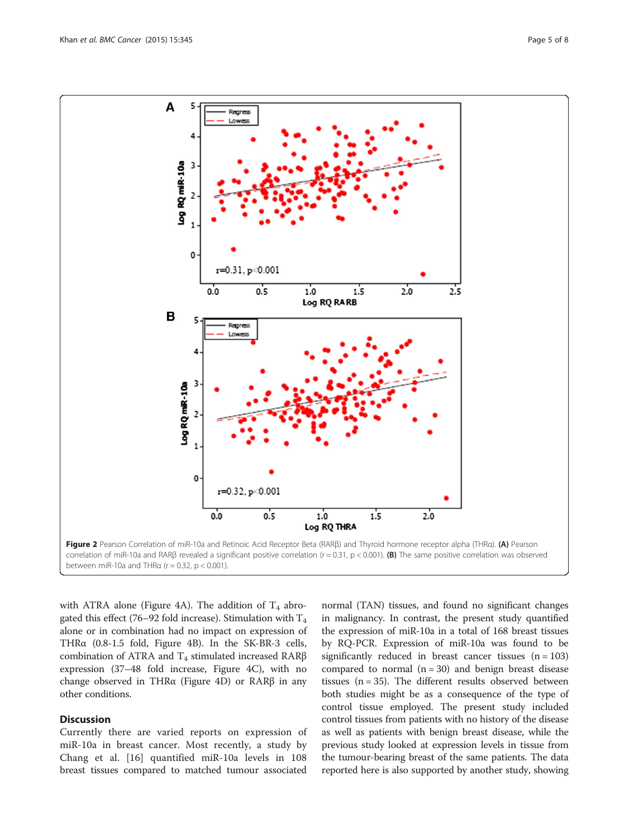<span id="page-4-0"></span>

between miR-10a and THR $\alpha$  (r = 0.32, p < 0.001).

with ATRA alone (Figure [4](#page-6-0)A). The addition of  $T_4$  abrogated this effect (76–92 fold increase). Stimulation with  $T_4$ alone or in combination had no impact on expression of THRα (0.8-1.5 fold, Figure [4](#page-6-0)B). In the SK-BR-3 cells, combination of ATRA and  $T_4$  stimulated increased RARβ expression (37–48 fold increase, Figure [4](#page-6-0)C), with no change observed in THRα (Figure [4](#page-6-0)D) or RARβ in any other conditions.

## **Discussion**

Currently there are varied reports on expression of miR-10a in breast cancer. Most recently, a study by Chang et al. [[16\]](#page-7-0) quantified miR-10a levels in 108 breast tissues compared to matched tumour associated

normal (TAN) tissues, and found no significant changes in malignancy. In contrast, the present study quantified the expression of miR-10a in a total of 168 breast tissues by RQ-PCR. Expression of miR-10a was found to be significantly reduced in breast cancer tissues  $(n = 103)$ compared to normal  $(n = 30)$  and benign breast disease tissues  $(n = 35)$ . The different results observed between both studies might be as a consequence of the type of control tissue employed. The present study included control tissues from patients with no history of the disease as well as patients with benign breast disease, while the previous study looked at expression levels in tissue from the tumour-bearing breast of the same patients. The data reported here is also supported by another study, showing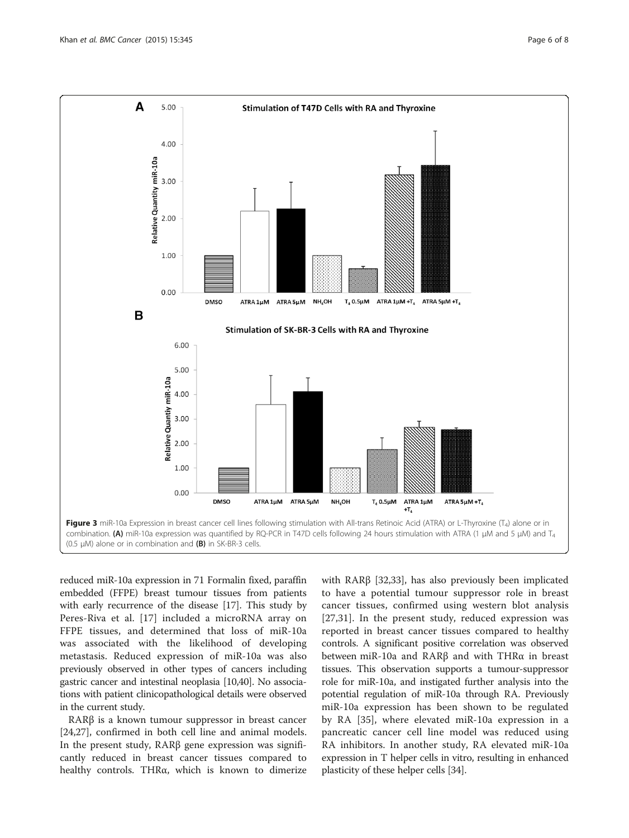<span id="page-5-0"></span>

reduced miR-10a expression in 71 Formalin fixed, paraffin embedded (FFPE) breast tumour tissues from patients with early recurrence of the disease [\[17\]](#page-7-0). This study by Peres-Riva et al. [[17\]](#page-7-0) included a microRNA array on FFPE tissues, and determined that loss of miR-10a was associated with the likelihood of developing metastasis. Reduced expression of miR-10a was also previously observed in other types of cancers including gastric cancer and intestinal neoplasia [[10,40\]](#page-7-0). No associations with patient clinicopathological details were observed in the current study.

RARβ is a known tumour suppressor in breast cancer [[24,27\]](#page-7-0), confirmed in both cell line and animal models. In the present study, RARβ gene expression was significantly reduced in breast cancer tissues compared to healthy controls. THRα, which is known to dimerize with RARβ [\[32,33](#page-7-0)], has also previously been implicated to have a potential tumour suppressor role in breast cancer tissues, confirmed using western blot analysis [[27,31](#page-7-0)]. In the present study, reduced expression was reported in breast cancer tissues compared to healthy controls. A significant positive correlation was observed between miR-10a and RARβ and with THRα in breast tissues. This observation supports a tumour-suppressor role for miR-10a, and instigated further analysis into the potential regulation of miR-10a through RA. Previously miR-10a expression has been shown to be regulated by RA [[35](#page-7-0)], where elevated miR-10a expression in a pancreatic cancer cell line model was reduced using RA inhibitors. In another study, RA elevated miR-10a expression in T helper cells in vitro, resulting in enhanced plasticity of these helper cells [\[34\]](#page-7-0).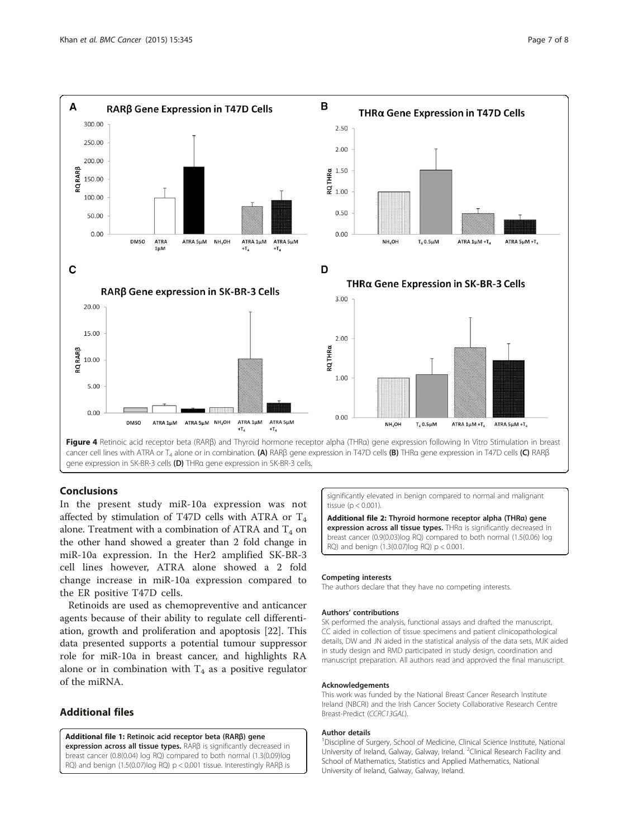<span id="page-6-0"></span>

gene expression in SK-BR-3 cells (D) THRa gene expression in SK-BR-3 cells.

## Conclusions

In the present study miR-10a expression was not affected by stimulation of T47D cells with ATRA or  $T_4$ alone. Treatment with a combination of ATRA and  $T_4$  on the other hand showed a greater than 2 fold change in miR-10a expression. In the Her2 amplified SK-BR-3 cell lines however, ATRA alone showed a 2 fold change increase in miR-10a expression compared to the ER positive T47D cells.

Retinoids are used as chemopreventive and anticancer agents because of their ability to regulate cell differentiation, growth and proliferation and apoptosis [\[22](#page-7-0)]. This data presented supports a potential tumour suppressor role for miR-10a in breast cancer, and highlights RA alone or in combination with  $T_4$  as a positive regulator of the miRNA.

## Additional files

#### [Additional file 1:](http://www.biomedcentral.com/content/supplementary/s12885-015-1374-y-s1.jpeg) Retinoic acid receptor beta (RARβ) gene

expression across all tissue types. RARβ is significantly decreased in breast cancer (0.8(0.04) log RQ) compared to both normal (1.3(0.09)log RQ) and benign (1.5(0.07)log RQ) p < 0.001 tissue. Interestingly RARβ is

significantly elevated in benign compared to normal and malignant tissue  $(p < 0.001)$ 

[Additional file 2:](http://www.biomedcentral.com/content/supplementary/s12885-015-1374-y-s2.jpeg) Thyroid hormone receptor alpha (THRα) gene expression across all tissue types. THRa is significantly decreased in breast cancer (0.9(0.03)log RQ) compared to both normal (1.5(0.06) log RQ) and benign (1.3(0.07)log RQ) p < 0.001.

#### Competing interests

The authors declare that they have no competing interests.

#### Authors' contributions

SK performed the analysis, functional assays and drafted the manuscript, CC aided in collection of tissue specimens and patient clinicopathological details, DW and JN aided in the statistical analysis of the data sets, MJK aided in study design and RMD participated in study design, coordination and manuscript preparation. All authors read and approved the final manuscript.

#### Acknowledgements

This work was funded by the National Breast Cancer Research Institute Ireland (NBCRI) and the Irish Cancer Society Collaborative Research Centre Breast-Predict (CCRC13GAL).

#### Author details

<sup>1</sup> Discipline of Surgery, School of Medicine, Clinical Science Institute, National University of Ireland, Galway, Galway, Ireland. <sup>2</sup>Clinical Research Facility and School of Mathematics, Statistics and Applied Mathematics, National University of Ireland, Galway, Galway, Ireland.